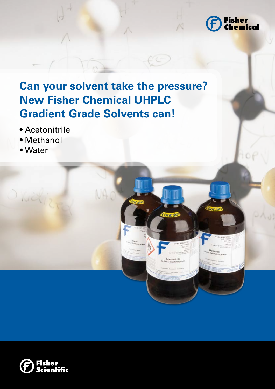

**Ontain** 

ontai

# **Can your solvent take the pressure? New Fisher Chemical UHPLC Gradient Grade Solvents can!**

- Acetonitrile
- Methanol
- Water

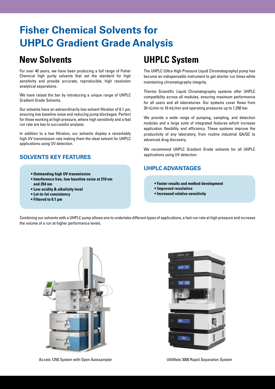### **Fisher Chemical Solvents for UHPLC Gradient Grade Analysis**

For over 40 years, we have been producing a full range of Fisher Chemical high purity solvents that set the standard for high sensitivity and provide accurate, reproducible, high resolution analytical separations.

We have raised the bar by introducing a unique range of UHPLC Gradient Grade Solvents.

Our solvents have an extraordinarily low solvent filtration of 0.1 µm, ensuring low baseline noise and reducing pump blockages. Perfect for those working at high pressure, where high sensitivity and a fast run rate are key to successful analysis.

In addition to a low filtration, our solvents display a remarkably high UV transmission rate making them the ideal solvent for UHPLC applications using UV detection.

### **Solvents Key Features**

- **Outstanding high UV transmission**
- **Interference free, low baseline noise at 210 nm and 254 nm**
- **Low acidity & alkalinity level**
- **Lot-to-lot consistency**
- **Filtered to 0.1 μm**

### **New Solvents UHPLC System**

The UHPLC (Ultra High Pressure Liquid Chromatography) pump has become an indispensable instrument to get shorter run times while maintaining chromatography integrity.

Thermo Scientific Liquid Chromatography systems offer UHPLC compatibility across all modules, ensuring maximum performance for all users and all laboratories. Our systems cover flows from 20 nL/min to 10 mL/min and operating pressures up to 1,250 bar.

We provide a wide range of pumping, sampling, and detection modules and a large suite of integrated features which increase application flexibility and efficiency. These systems improve the productivity of any laboratory, from routine industrial QA/QC to advanced drug discovery.

We recommend UHPLC Gradient Grade solvents for all UHPLC applications using UV detection.

### **UHPLC advantages**

- **Faster results and method development**
- **Improved resolution**
- **Increased relative sensitivity**

Combining our solvents with a UHPLC pump allows one to undertake different types of applications, a fast run rate at high pressure and increase the volume of a run at higher performance levels.



 $1700 - 732$ 

Accela 1250 System with Open Autosampler North Communisties and Muslim UltiMate 3000 Rapid Separation System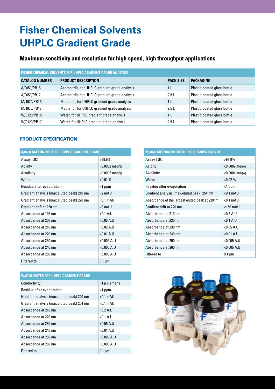# **Fisher Chemical Solvents UHPLC Gradient Grade**

### **Maximum sensitivity and resolution for high speed, high throughput applications**

| <b>FISHER CHEMICAL SOLVENTS FOR UHPLC GRADIENT GRADE ANALYSIS</b> |                                                 |                  |                             |  |  |
|-------------------------------------------------------------------|-------------------------------------------------|------------------|-----------------------------|--|--|
| <b>CATALOG NUMBER</b>                                             | <b>PRODUCT DESCRIPTION</b>                      | <b>PACK SIZE</b> | <b>PACKAGING</b>            |  |  |
| A/0650/PB15                                                       | Acetonitrile, for UHPLC gradient grade analysis | 1 <sub>L</sub>   | Plastic coated glass bottle |  |  |
| A/0650/PB17                                                       | Acetonitrile, for UHPLC gradient grade analysis | 2.5L             | Plastic coated glass bottle |  |  |
| M/4070/PB15                                                       | Methanol, for UHPLC gradient grade analysis     | 1 <sub>L</sub>   | Plastic coated glass bottle |  |  |
| M/4070/PB17                                                       | Methanol, for UHPLC gradient grade analysis     | 2.5L             | Plastic coated glass bottle |  |  |
| W/0120/PB15                                                       | Water, for UHPLC gradient grade analysis        | 1 L              | Plastic coated glass bottle |  |  |
| W/0120/PB17                                                       | Water, for UHPLC gradient grade analysis        | 2.5L             | Plastic coated glass bottle |  |  |

#### **Product Specification**

| A/0650 ACETONITRILE FOR UHPLC GRADIENT GRADE |                  |  |  |  |
|----------------------------------------------|------------------|--|--|--|
| Assay (GC)                                   | $>99.9\%$        |  |  |  |
| Acidity                                      | $<$ 0.0002 meg/g |  |  |  |
| Alkalinity                                   | $<$ 0.0002 meg/g |  |  |  |
| Water                                        | $< 0.01 \%$      |  |  |  |
| Residue after evaporation                    | $<$ 1 ppm        |  |  |  |
| Gradient analysis (max.eluted peak) 210 nm   | $<$ 2 mAll       |  |  |  |
| Gradient analysis (max.eluted peak) 220 nm   | $< 0.1$ mAU      |  |  |  |
| Gradient drift at 220 nm                     | $<$ 8 mAU        |  |  |  |
| Absorbance at 195 nm                         | < 0.1 A.U        |  |  |  |
| Absorbance at 200 nm                         | < 0.05 A.U       |  |  |  |
| Absorbance at 210 nm                         | < 0.02 A.U       |  |  |  |
| Absorbance at 220 nm                         | < 0.01 A.U       |  |  |  |
| Absorbance at 230 nm                         | < 0.005 A.U      |  |  |  |
| Absorbance at 240 nm                         | $<$ 0.005 A.U    |  |  |  |
| Absorbance at 250 nm                         | $<$ 0.005 A.U    |  |  |  |
| <b>Filtered to</b>                           | $0.1 \mu m$      |  |  |  |

| <b>W/0120 WATER FOR UHPLC GRADIENT GRADE</b> |                 |  |  |  |
|----------------------------------------------|-----------------|--|--|--|
| Conductivity                                 | $<$ 1 µ siemens |  |  |  |
| Residue after evaporation                    | $<$ 1 ppm       |  |  |  |
| Gradient analysis (max.eluted peak) 220 nm   | $< 0.1$ mAU     |  |  |  |
| Gradient analysis (max.eluted peak) 254 nm   | $< 0.1$ mAU     |  |  |  |
| Absorbance at 210 nm                         | < 0.2 A.U       |  |  |  |
| Absorbance at 220 nm                         | $< 0.1$ A.U     |  |  |  |
| Absorbance at 230 nm                         | < 0.05 A.U      |  |  |  |
| Absorbance at 240 nm                         | $< 0.01 A$ .    |  |  |  |
| Absorbance at 250 nm                         | < 0.005 A.U     |  |  |  |
| Absorbance at 260 nm                         | $<$ 0.005 A.U   |  |  |  |
| Filtered to                                  | $0.1 \mu m$     |  |  |  |

| <b>M/4070 METHANOL FOR UHPLC GRADIENT GRADE</b> |                  |  |  |  |  |
|-------------------------------------------------|------------------|--|--|--|--|
| Assay (GC)                                      | $>99.9\%$        |  |  |  |  |
| Acidity                                         | $<$ 0.0002 meg/g |  |  |  |  |
| Alkalinity                                      | $< 0.0001$ meg/g |  |  |  |  |
| Water                                           | $< 0.02 \%$      |  |  |  |  |
| Residue after evaporation                       | <1 ppm           |  |  |  |  |
| Gradient analysis (max.eluted peak) 254 nm      | $< 0.1$ mAU      |  |  |  |  |
| Absorbance of the largest eluted peak at 220nm  | $< 0.1$ mAU      |  |  |  |  |
| Gradient drift at 220 nm                        | $<$ 150 mAU      |  |  |  |  |
| Absorbance at 210 nm                            | < 0.2 A.U        |  |  |  |  |
| Absorbance at 220 nm                            | < 0.1 A.U        |  |  |  |  |
| Absorbance at 230 nm                            | < 0.05 A.U       |  |  |  |  |
| Absorbance at 240 nm                            | < 0.01 A.U       |  |  |  |  |
| Absorbance at 250 nm                            | $< 0.005$ A.U    |  |  |  |  |
| Absorbance at 260 nm                            | < 0.005 A.U      |  |  |  |  |
| Filtered to                                     | $0.1 \mu m$      |  |  |  |  |